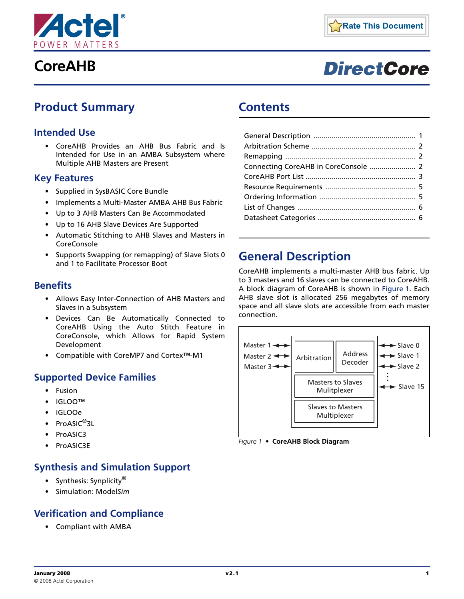

# **DirectCore**

# <span id="page-0-2"></span>**Product Summary**

### **Intended Use**

• CoreAHB Provides an AHB Bus Fabric and Is Intended for Use in an AMBA Subsystem where Multiple AHB Masters are Present

#### **Key Features**

- Supplied in SysBASIC Core Bundle
- Implements a Multi-Master AMBA AHB Bus Fabric
- Up to 3 AHB Masters Can Be Accommodated
- Up to 16 AHB Slave Devices Are Supported
- Automatic Stitching to AHB Slaves and Masters in CoreConsole
- Supports Swapping (or remapping) of Slave Slots 0 and 1 to Facilitate Processor Boot

#### **Benefits**

- Allows Easy Inter-Connection of AHB Masters and Slaves in a Subsystem
- Devices Can Be Automatically Connected to CoreAHB Using the Auto Stitch Feature in CoreConsole, which Allows for Rapid System Development
- Compatible with CoreMP7 and Cortex™-M1

#### <span id="page-0-3"></span>**Supported Device Families**

- Fusion
- IGLOO™
- IGLOOe
- ProASIC<sup>®</sup>3L
- ProASIC3
- ProASIC3E

### **Synthesis and Simulation Support**

- Synthesis: Synplicity<sup>®</sup>
- Simulation: Model*Sim*

### **Verification and Compliance**

• Compliant with AMBA

# **Contents**

# <span id="page-0-0"></span>**General Description**

CoreAHB implements a multi-master AHB bus fabric. Up to 3 masters and 16 slaves can be connected to CoreAHB. A block diagram of CoreAHB is shown in [Figure 1](#page-0-1). Each AHB slave slot is allocated 256 megabytes of memory space and all slave slots are accessible from each master connection.



<span id="page-0-1"></span>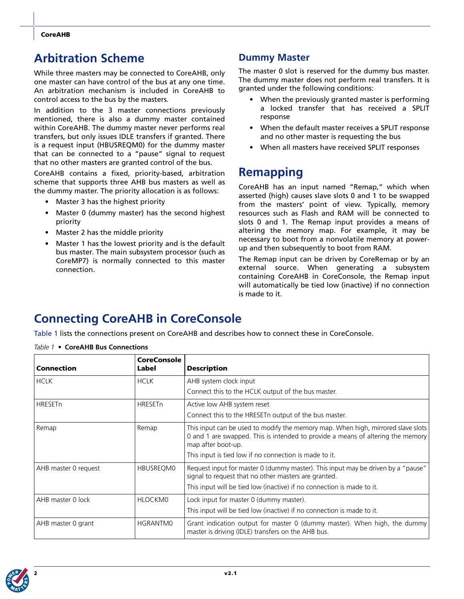# <span id="page-1-0"></span>**Arbitration Scheme**

While three masters may be connected to CoreAHB, only one master can have control of the bus at any one time. An arbitration mechanism is included in CoreAHB to control access to the bus by the masters.

In addition to the 3 master connections previously mentioned, there is also a dummy master contained within CoreAHB. The dummy master never performs real transfers, but only issues IDLE transfers if granted. There is a request input (HBUSREQM0) for the dummy master that can be connected to a "pause" signal to request that no other masters are granted control of the bus.

CoreAHB contains a fixed, priority-based, arbitration scheme that supports three AHB bus masters as well as the dummy master. The priority allocation is as follows:

- Master 3 has the highest priority
- Master 0 (dummy master) has the second highest priority
- Master 2 has the middle priority
- Master 1 has the lowest priority and is the default bus master. The main subsystem processor (such as CoreMP7) is normally connected to this master connection.

### **Dummy Master**

The master 0 slot is reserved for the dummy bus master. The dummy master does not perform real transfers. It is granted under the following conditions:

- When the previously granted master is performing a locked transfer that has received a SPLIT response
- When the default master receives a SPLIT response and no other master is requesting the bus
- When all masters have received SPLIT responses

# <span id="page-1-1"></span>**Remapping**

CoreAHB has an input named "Remap," which when asserted (high) causes slave slots 0 and 1 to be swapped from the masters' point of view. Typically, memory resources such as Flash and RAM will be connected to slots 0 and 1. The Remap input provides a means of altering the memory map. For example, it may be necessary to boot from a nonvolatile memory at powerup and then subsequently to boot from RAM.

The Remap input can be driven by CoreRemap or by an external source. When generating a subsystem containing CoreAHB in CoreConsole, the Remap input will automatically be tied low (inactive) if no connection is made to it.

# <span id="page-1-2"></span>**Connecting CoreAHB in CoreConsole**

[Table 1](#page-1-3) lists the connections present on CoreAHB and describes how to connect these in CoreConsole.

| Connection           | <b>CoreConsole</b><br>Label | <b>Description</b>                                                                                                                                                                                                                                  |  |  |  |
|----------------------|-----------------------------|-----------------------------------------------------------------------------------------------------------------------------------------------------------------------------------------------------------------------------------------------------|--|--|--|
| <b>HCLK</b>          | <b>HCLK</b>                 | AHB system clock input<br>Connect this to the HCLK output of the bus master.                                                                                                                                                                        |  |  |  |
| <b>HRESETn</b>       | <b>HRESETn</b>              | Active low AHB system reset<br>Connect this to the HRESET noutput of the bus master.                                                                                                                                                                |  |  |  |
| Remap                | Remap                       | This input can be used to modify the memory map. When high, mirrored slave slots<br>0 and 1 are swapped. This is intended to provide a means of altering the memory<br>map after boot-up.<br>This input is tied low if no connection is made to it. |  |  |  |
| AHB master 0 request | HBUSREOM0                   | Request input for master 0 (dummy master). This input may be driven by a "pause"<br>signal to request that no other masters are granted.<br>This input will be tied low (inactive) if no connection is made to it.                                  |  |  |  |
| AHB master 0 lock    | HLOCKM0                     | Lock input for master 0 (dummy master).<br>This input will be tied low (inactive) if no connection is made to it.                                                                                                                                   |  |  |  |
| AHB master 0 grant   | <b>HGRANTMO</b>             | Grant indication output for master 0 (dummy master). When high, the dummy<br>master is driving (IDLE) transfers on the AHB bus.                                                                                                                     |  |  |  |

#### <span id="page-1-3"></span>*Table 1 •* **CoreAHB Bus Connections**

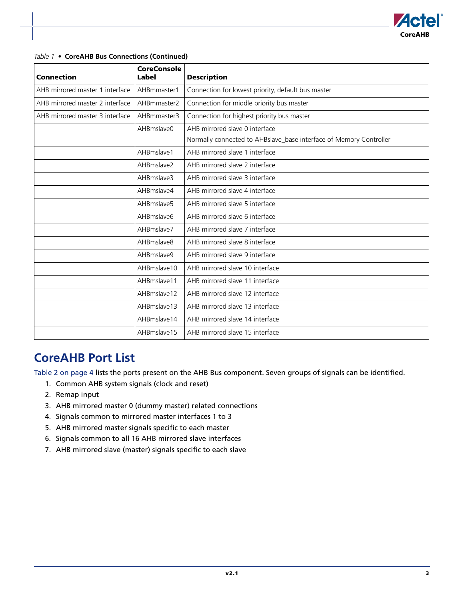

#### *Table 1 •* **CoreAHB Bus Connections (Continued)**

| Connection                      | <b>CoreConsole</b><br>Label | <b>Description</b>                                                 |
|---------------------------------|-----------------------------|--------------------------------------------------------------------|
| AHB mirrored master 1 interface | AHBmmaster1                 | Connection for lowest priority, default bus master                 |
| AHB mirrored master 2 interface | AHBmmaster2                 | Connection for middle priority bus master                          |
| AHB mirrored master 3 interface | AHBmmaster3                 | Connection for highest priority bus master                         |
|                                 | AHBmslave0                  | AHB mirrored slave 0 interface                                     |
|                                 |                             | Normally connected to AHBslave_base interface of Memory Controller |
|                                 | AHBmslave1                  | AHB mirrored slave 1 interface                                     |
|                                 | AHBmslave2                  | AHB mirrored slave 2 interface                                     |
|                                 | AHBmslave3                  | AHB mirrored slave 3 interface                                     |
|                                 | AHBmslave4                  | AHB mirrored slave 4 interface                                     |
|                                 | AHBmslave5                  | AHB mirrored slave 5 interface                                     |
|                                 | AHBmslave6                  | AHB mirrored slave 6 interface                                     |
|                                 | AHBmslave7                  | AHB mirrored slave 7 interface                                     |
|                                 | AHBmslave8                  | AHB mirrored slave 8 interface                                     |
|                                 | AHBmslave9                  | AHB mirrored slave 9 interface                                     |
|                                 | AHBmslave10                 | AHB mirrored slave 10 interface                                    |
|                                 | AHBmslave11                 | AHB mirrored slave 11 interface                                    |
|                                 | AHBmslave12                 | AHB mirrored slave 12 interface                                    |
|                                 | AHBmslave13                 | AHB mirrored slave 13 interface                                    |
|                                 | AHBmslave14                 | AHB mirrored slave 14 interface                                    |
|                                 | AHBmslave15                 | AHB mirrored slave 15 interface                                    |

# <span id="page-2-0"></span>**CoreAHB Port List**

[Table 2 on page 4](#page-3-0) lists the ports present on the AHB Bus component. Seven groups of signals can be identified.

- 1. Common AHB system signals (clock and reset)
- 2. Remap input
- 3. AHB mirrored master 0 (dummy master) related connections
- 4. Signals common to mirrored master interfaces 1 to 3
- 5. AHB mirrored master signals specific to each master
- 6. Signals common to all 16 AHB mirrored slave interfaces
- 7. AHB mirrored slave (master) signals specific to each slave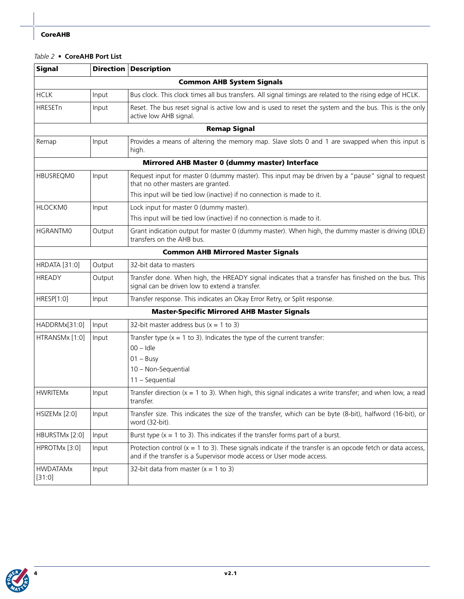#### <span id="page-3-0"></span>*Table 2 •* **CoreAHB Port List**

| <b>Signal</b>             |                                  | <b>Direction Description</b>                                                                                                                                                          |  |  |  |  |  |
|---------------------------|----------------------------------|---------------------------------------------------------------------------------------------------------------------------------------------------------------------------------------|--|--|--|--|--|
|                           | <b>Common AHB System Signals</b> |                                                                                                                                                                                       |  |  |  |  |  |
| <b>HCLK</b>               | Input                            | Bus clock. This clock times all bus transfers. All signal timings are related to the rising edge of HCLK.                                                                             |  |  |  |  |  |
| <b>HRESETn</b>            | Input                            | Reset. The bus reset signal is active low and is used to reset the system and the bus. This is the only<br>active low AHB signal.                                                     |  |  |  |  |  |
|                           |                                  | <b>Remap Signal</b>                                                                                                                                                                   |  |  |  |  |  |
| Remap                     | Input                            | Provides a means of altering the memory map. Slave slots 0 and 1 are swapped when this input is<br>high.                                                                              |  |  |  |  |  |
|                           |                                  | Mirrored AHB Master 0 (dummy master) Interface                                                                                                                                        |  |  |  |  |  |
| <b>HBUSREQM0</b>          | Input                            | Request input for master 0 (dummy master). This input may be driven by a "pause" signal to request<br>that no other masters are granted.                                              |  |  |  |  |  |
|                           |                                  | This input will be tied low (inactive) if no connection is made to it.                                                                                                                |  |  |  |  |  |
| HLOCKM0                   | Input                            | Lock input for master 0 (dummy master).<br>This input will be tied low (inactive) if no connection is made to it.                                                                     |  |  |  |  |  |
| HGRANTM0                  | Output                           | Grant indication output for master 0 (dummy master). When high, the dummy master is driving (IDLE)<br>transfers on the AHB bus.                                                       |  |  |  |  |  |
|                           |                                  | <b>Common AHB Mirrored Master Signals</b>                                                                                                                                             |  |  |  |  |  |
| <b>HRDATA [31:0]</b>      | Output                           | 32-bit data to masters                                                                                                                                                                |  |  |  |  |  |
| <b>HREADY</b>             | Output                           | Transfer done. When high, the HREADY signal indicates that a transfer has finished on the bus. This<br>signal can be driven low to extend a transfer.                                 |  |  |  |  |  |
| HRESP[1:0]                | Input                            | Transfer response. This indicates an Okay Error Retry, or Split response.                                                                                                             |  |  |  |  |  |
|                           |                                  | <b>Master-Specific Mirrored AHB Master Signals</b>                                                                                                                                    |  |  |  |  |  |
| HADDRMx[31:0]             | Input                            | 32-bit master address bus $(x = 1$ to 3)                                                                                                                                              |  |  |  |  |  |
| HTRANSMx [1:0]            | Input                            | Transfer type $(x = 1$ to 3). Indicates the type of the current transfer:<br>$00 -$ Idle<br>$01 - BusV$<br>10 - Non-Sequential<br>$11 - Sequential$                                   |  |  |  |  |  |
| <b>HWRITEMx</b>           | Input                            | Transfer direction $(x = 1$ to 3). When high, this signal indicates a write transfer; and when low, a read<br>transfer.                                                               |  |  |  |  |  |
| HSIZEM $x$ [2:0]          | Input                            | Transfer size. This indicates the size of the transfer, which can be byte (8-bit), halfword (16-bit), or<br>word (32-bit).                                                            |  |  |  |  |  |
| HBURSTMx [2:0]            | Input                            | Burst type $(x = 1$ to 3). This indicates if the transfer forms part of a burst.                                                                                                      |  |  |  |  |  |
| HPROTMx [3:0]             | Input                            | Protection control ( $x = 1$ to 3). These signals indicate if the transfer is an opcode fetch or data access,<br>and if the transfer is a Supervisor mode access or User mode access. |  |  |  |  |  |
| <b>HWDATAMx</b><br>[31:0] | Input                            | 32-bit data from master $(x = 1$ to 3)                                                                                                                                                |  |  |  |  |  |

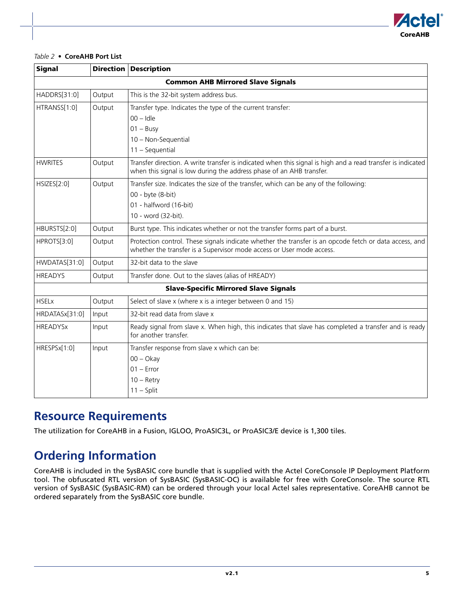

#### *Table 2 •* **CoreAHB Port List**

| <b>Signal</b>                            |        | <b>Direction Description</b>                                                                                                                                                        |  |  |  |  |
|------------------------------------------|--------|-------------------------------------------------------------------------------------------------------------------------------------------------------------------------------------|--|--|--|--|
| <b>Common AHB Mirrored Slave Signals</b> |        |                                                                                                                                                                                     |  |  |  |  |
| HADDRS[31:0]                             | Output | This is the 32-bit system address bus.                                                                                                                                              |  |  |  |  |
| HTRANSS[1:0]                             | Output | Transfer type. Indicates the type of the current transfer:                                                                                                                          |  |  |  |  |
|                                          |        | $00 -$ Idle                                                                                                                                                                         |  |  |  |  |
|                                          |        | $01 - Busy$                                                                                                                                                                         |  |  |  |  |
|                                          |        | 10 - Non-Sequential                                                                                                                                                                 |  |  |  |  |
|                                          |        | 11 - Sequential                                                                                                                                                                     |  |  |  |  |
| <b>HWRITES</b>                           | Output | Transfer direction. A write transfer is indicated when this signal is high and a read transfer is indicated<br>when this signal is low during the address phase of an AHB transfer. |  |  |  |  |
| HSIZES[2:0]                              | Output | Transfer size. Indicates the size of the transfer, which can be any of the following:                                                                                               |  |  |  |  |
|                                          |        | 00 - byte (8-bit)                                                                                                                                                                   |  |  |  |  |
|                                          |        | 01 - halfword (16-bit)                                                                                                                                                              |  |  |  |  |
|                                          |        | 10 - word (32-bit).                                                                                                                                                                 |  |  |  |  |
| HBURSTS[2:0]                             | Output | Burst type. This indicates whether or not the transfer forms part of a burst.                                                                                                       |  |  |  |  |
| HPROTS[3:0]                              | Output | Protection control. These signals indicate whether the transfer is an opcode fetch or data access, and<br>whether the transfer is a Supervisor mode access or User mode access.     |  |  |  |  |
| HWDATAS[31:0]                            | Output | 32-bit data to the slave                                                                                                                                                            |  |  |  |  |
| <b>HREADYS</b>                           | Output | Transfer done. Out to the slaves (alias of HREADY)                                                                                                                                  |  |  |  |  |
|                                          |        | <b>Slave-Specific Mirrored Slave Signals</b>                                                                                                                                        |  |  |  |  |
| <b>HSELx</b>                             | Output | Select of slave x (where x is a integer between 0 and 15)                                                                                                                           |  |  |  |  |
| HRDATASx[31:0]                           | Input  | 32-bit read data from slave x                                                                                                                                                       |  |  |  |  |
| <b>HREADYSx</b>                          | Input  | Ready signal from slave x. When high, this indicates that slave has completed a transfer and is ready<br>for another transfer.                                                      |  |  |  |  |
| HRESPSx[1:0]                             | Input  | Transfer response from slave x which can be:                                                                                                                                        |  |  |  |  |
|                                          |        | $00 - O$ kay                                                                                                                                                                        |  |  |  |  |
|                                          |        | $01 -$ Error                                                                                                                                                                        |  |  |  |  |
|                                          |        | $10 -$ Retry                                                                                                                                                                        |  |  |  |  |
|                                          |        | $11 - Split$                                                                                                                                                                        |  |  |  |  |

## <span id="page-4-0"></span>**Resource Requirements**

The utilization for CoreAHB in a Fusion, IGLOO, ProASIC3L, or ProASIC3/E device is 1,300 tiles.

# <span id="page-4-1"></span>**Ordering Information**

CoreAHB is included in the SysBASIC core bundle that is supplied with the Actel CoreConsole IP Deployment Platform tool. The obfuscated RTL version of SysBASIC (SysBASIC-OC) is available for free with CoreConsole. The source RTL version of SysBASIC (SysBASIC-RM) can be ordered through your local Actel sales representative. CoreAHB cannot be ordered separately from the SysBASIC core bundle.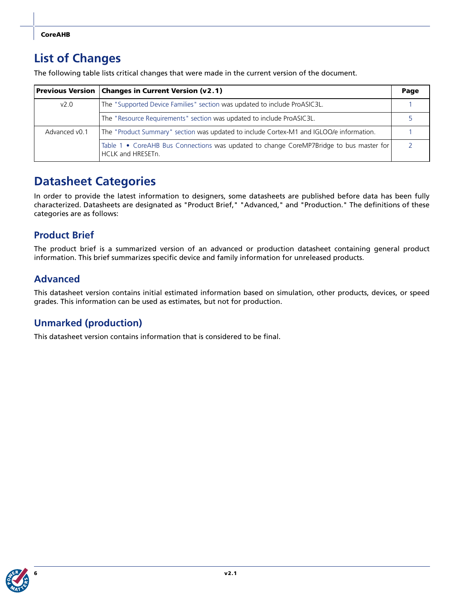# <span id="page-5-0"></span>**List of Changes**

The following table lists critical changes that were made in the current version of the document.

|               | <b>Previous Version   Changes in Current Version (v2.1)</b>                                                         | Page |
|---------------|---------------------------------------------------------------------------------------------------------------------|------|
| v2.0          | The "Supported Device Families" section was updated to include ProASIC3L.                                           |      |
|               | The "Resource Requirements" section was updated to include ProASIC3L.                                               |      |
| Advanced v0.1 | The "Product Summary" section was updated to include Cortex-M1 and IGLOO/e information.                             |      |
|               | Table 1 • CoreAHB Bus Connections was updated to change CoreMP7Bridge to bus master for<br><b>HCLK and HRESETn.</b> |      |

# <span id="page-5-1"></span>**Datasheet Categories**

In order to provide the latest information to designers, some datasheets are published before data has been fully characterized. Datasheets are designated as "Product Brief," "Advanced," and "Production." The definitions of these categories are as follows:

### **Product Brief**

The product brief is a summarized version of an advanced or production datasheet containing general product information. This brief summarizes specific device and family information for unreleased products.

### **Advanced**

This datasheet version contains initial estimated information based on simulation, other products, devices, or speed grades. This information can be used as estimates, but not for production.

### **Unmarked (production)**

This datasheet version contains information that is considered to be final.